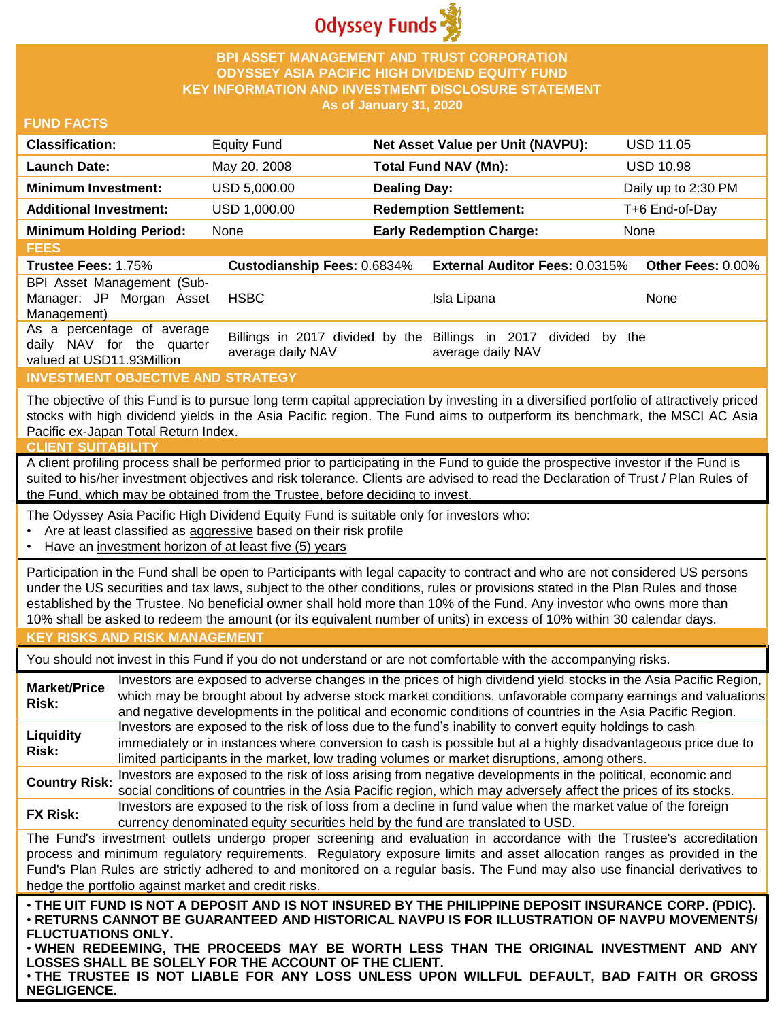

# **BPI ASSET MANAGEMENT AND TRUST CORPORATION ODYSSEY ASIA PACIFIC HIGH DIVIDEND EQUITY FUND KEY INFORMATION AND INVESTMENT DISCLOSURE STATEMENT As of January 31, 2020**

#### **FUND FACTS**

| <b>Classification:</b>         | Equity Fund  | Net Asset Value per Unit (NAVPU): | <b>USD 11.05</b>    |
|--------------------------------|--------------|-----------------------------------|---------------------|
| <b>Launch Date:</b>            | May 20, 2008 | <b>Total Fund NAV (Mn):</b>       | <b>USD 10.98</b>    |
| <b>Minimum Investment:</b>     | USD 5,000,00 | <b>Dealing Day:</b>               | Daily up to 2:30 PM |
| <b>Additional Investment:</b>  | USD 1,000.00 | <b>Redemption Settlement:</b>     | T+6 End-of-Day      |
| <b>Minimum Holding Period:</b> | None         | <b>Early Redemption Charge:</b>   | None                |

**FEES Trustee Fees:** 1.75% **Custodianship Fees:** 0.6834% **External Auditor Fees:** 0.0315% **Other Fees:** 0.00% BPI Asset Management (Sub-Manager: JP Morgan Asset Management) HSBC Isla Lipana None As a percentage of average daily NAV for the quarter valued at USD11.93Million Billings in 2017 divided by the Billings in 2017 divided by the average daily NAV average daily NAV

# **INVESTMENT OBJECTIVE AND STRATEGY**

The objective of this Fund is to pursue long term capital appreciation by investing in a diversified portfolio of attractively priced stocks with high dividend yields in the Asia Pacific region. The Fund aims to outperform its benchmark, the MSCI AC Asia Pacific ex-Japan Total Return Index.

#### **CLIENT SUITABILITY**

A client profiling process shall be performed prior to participating in the Fund to guide the prospective investor if the Fund is suited to his/her investment objectives and risk tolerance. Clients are advised to read the Declaration of Trust / Plan Rules of the Fund, which may be obtained from the Trustee, before deciding to invest.

The Odyssey Asia Pacific High Dividend Equity Fund is suitable only for investors who:

- Are at least classified as aggressive based on their risk profile
- Have an investment horizon of at least five (5) years

Participation in the Fund shall be open to Participants with legal capacity to contract and who are not considered US persons under the US securities and tax laws, subject to the other conditions, rules or provisions stated in the Plan Rules and those established by the Trustee. No beneficial owner shall hold more than 10% of the Fund. Any investor who owns more than 10% shall be asked to redeem the amount (or its equivalent number of units) in excess of 10% within 30 calendar days.

# **KEY RISKS AND RISK MANAGEMENT**

You should not invest in this Fund if you do not understand or are not comfortable with the accompanying risks.

**Market/Price Risk:** Investors are exposed to adverse changes in the prices of high dividend yield stocks in the Asia Pacific Region, which may be brought about by adverse stock market conditions, unfavorable company earnings and valuations and negative developments in the political and economic conditions of countries in the Asia Pacific Region. **Liquidity Risk:** Investors are exposed to the risk of loss due to the fund's inability to convert equity holdings to cash immediately or in instances where conversion to cash is possible but at a highly disadvantageous price due to limited participants in the market, low trading volumes or market disruptions, among others. **Country Risk:** Investors are exposed to the risk of loss arising from negative developments in the political, economic and<br>Country Risk: experiment is and countries in the Asia Resification which were at your above at the

social conditions of countries in the Asia Pacific region, which may adversely affect the prices of its stocks. **FX Risk:** Investors are exposed to the risk of loss from a decline in fund value when the market value of the foreign

currency denominated equity securities held by the fund are translated to USD.

The Fund's investment outlets undergo proper screening and evaluation in accordance with the Trustee's accreditation process and minimum regulatory requirements. Regulatory exposure limits and asset allocation ranges as provided in the Fund's Plan Rules are strictly adhered to and monitored on a regular basis. The Fund may also use financial derivatives to hedge the portfolio against market and credit risks.

. THE UIT FUND IS NOT A DEPOSIT AND IS NOT INSURED BY THE PHILIPPINE DEPOSIT INSURANCE CORP. (PDIC). • **RETURNS CANNOT BE GUARANTEED AND HISTORICAL NAVPU IS FOR ILLUSTRATION OF NAVPU MOVEMENTS/ FLUCTUATIONS ONLY.**

• **WHEN REDEEMING, THE PROCEEDS MAY BE WORTH LESS THAN THE ORIGINAL INVESTMENT AND ANY LOSSES SHALL BE SOLELY FOR THE ACCOUNT OF THE CLIENT.**

• **THE TRUSTEE IS NOT LIABLE FOR ANY LOSS UNLESS UPON WILLFUL DEFAULT, BAD FAITH OR GROSS NEGLIGENCE.**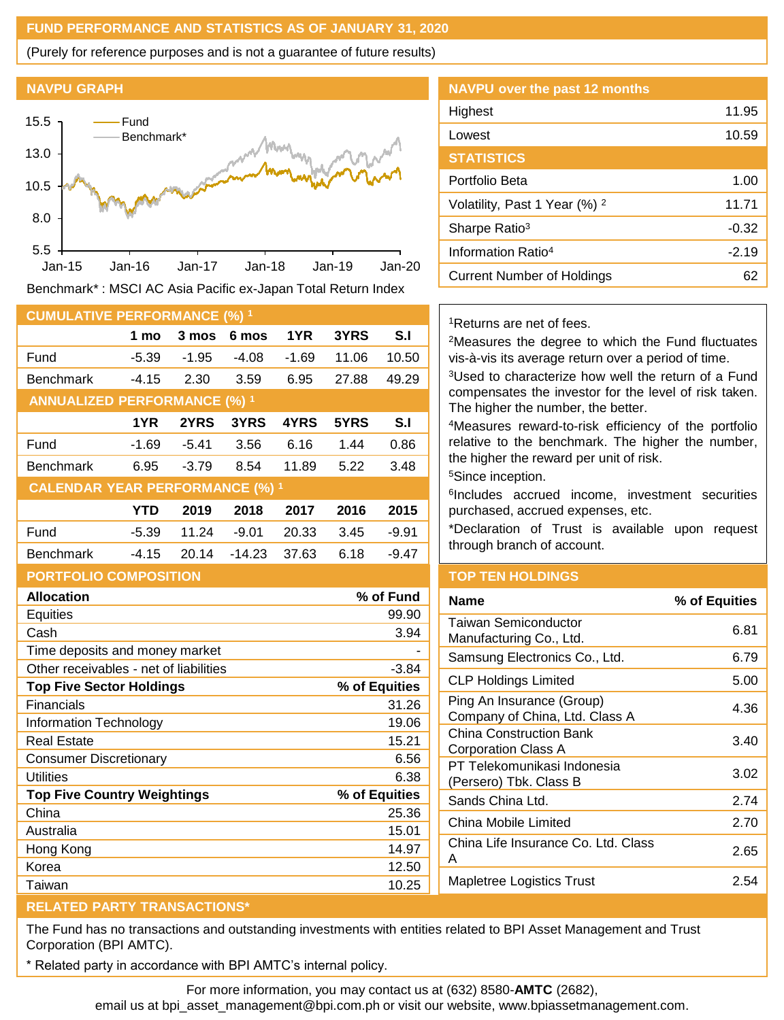# **FUND PERFORMANCE AND STATISTICS AS OF JANUARY 31, 2020**

(Purely for reference purposes and is not a guarantee of future results)

#### **NAVPU GRAPH**



Benchmark\* : MSCI AC Asia Pacific ex-Japan Total Return Index

| <b>CUMULATIVE PERFORMANCE (%) 1</b>    |            |         |          |       |       |         |
|----------------------------------------|------------|---------|----------|-------|-------|---------|
|                                        | 1 mo       | 3 mos   | 6 mos    | 1YR   | 3YRS  | S.I     |
| Fund                                   | $-5.39$    | $-1.95$ | -4.08    | -1.69 | 11.06 | 10.50   |
| <b>Benchmark</b>                       | -4.15      | 2.30    | 3.59     | 6.95  | 27.88 | 49.29   |
| <b>ANNUALIZED PERFORMANCE (%) 1</b>    |            |         |          |       |       |         |
|                                        | 1YR        | 2YRS    | 3YRS     | 4YRS  | 5YRS  | S.I     |
| Fund                                   | -1.69      | -5.41   | 3.56     | 6.16  | 1.44  | 0.86    |
| <b>Benchmark</b>                       | 6.95       | $-3.79$ | 8.54     | 11.89 | 5.22  | 3.48    |
| <b>CALENDAR YEAR PERFORMANCE (%) 1</b> |            |         |          |       |       |         |
|                                        | <b>YTD</b> | 2019    | 2018     | 2017  | 2016  | 2015    |
| Fund                                   | -5.39      | 11.24   | $-9.01$  | 20.33 | 3.45  | $-9.91$ |
| <b>Benchmark</b>                       | -4.15      | 20.14   | $-14.23$ | 37.63 | 6.18  | -9.47   |
| <b>PORTFOLIO COMPOSITION</b>           |            |         |          |       |       |         |

| <b>Allocation</b>                      | % of Fund     |
|----------------------------------------|---------------|
| Equities                               | 99.90         |
| Cash                                   | 3.94          |
| Time deposits and money market         |               |
| Other receivables - net of liabilities | $-3.84$       |
| <b>Top Five Sector Holdings</b>        | % of Equities |
| Financials                             | 31.26         |
| Information Technology                 | 19.06         |
| Real Estate                            | 15.21         |
| Consumer Discretionary                 | 6.56          |
| Utilities                              | 6.38          |
| <b>Top Five Country Weightings</b>     | % of Equities |
| China                                  | 25.36         |
| Australia                              | 15.01         |
| Hong Kong                              | 14.97         |
| Korea                                  | 12.50         |
| Taiwan                                 | 10.25         |

# **NAVPU over the past 12 months** Highest 11.95 Lowest 20.59 **STATISTICS** Portfolio Beta 1.00 Volatility, Past 1 Year  $(\%)$  <sup>2</sup> 11.71 Sharpe Ratio<sup>3</sup> and Sharpe Ratio<sup>3</sup> and Sharpe Ratio<sup>3</sup> and Sharpe Ratio<sup>3</sup> Information Ratio<sup>4</sup> and 1997-19 Current Number of Holdings **62**

<sup>1</sup>Returns are net of fees.

<sup>2</sup>Measures the degree to which the Fund fluctuates vis-à-vis its average return over a period of time.

<sup>3</sup>Used to characterize how well the return of a Fund compensates the investor for the level of risk taken. The higher the number, the better.

<sup>4</sup>Measures reward-to-risk efficiency of the portfolio relative to the benchmark. The higher the number, the higher the reward per unit of risk.

<sup>5</sup>Since inception.

6 Includes accrued income, investment securities purchased, accrued expenses, etc.

\*Declaration of Trust is available upon request through branch of account.

# **TOP TEN HOLDINGS**

| Name                                                        | % of Equities |
|-------------------------------------------------------------|---------------|
| Taiwan Semiconductor<br>Manufacturing Co., Ltd.             | 6.81          |
| Samsung Electronics Co., Ltd.                               | 6.79          |
| <b>CLP Holdings Limited</b>                                 | 5.00          |
| Ping An Insurance (Group)<br>Company of China, Ltd. Class A | 4.36          |
| China Construction Bank<br>Corporation Class A              | 3.40          |
| PT Telekomunikasi Indonesia<br>(Persero) Tbk. Class B       | 3.02          |
| Sands China Ltd.                                            | 2.74          |
| China Mobile Limited                                        | 2.70          |
| China Life Insurance Co. Ltd. Class<br>A                    | 2.65          |
| Mapletree Logistics Trust                                   | 2.54          |
|                                                             |               |

# **RELATED PARTY TRANSACTIONS\***

The Fund has no transactions and outstanding investments with entities related to BPI Asset Management and Trust Corporation (BPI AMTC).

Related party in accordance with BPI AMTC's internal policy.

For more information, you may contact us at (632) 8580-**AMTC** (2682),

email us at bpi\_asset\_management@bpi.com.ph or visit our website, www.bpiassetmanagement.com.